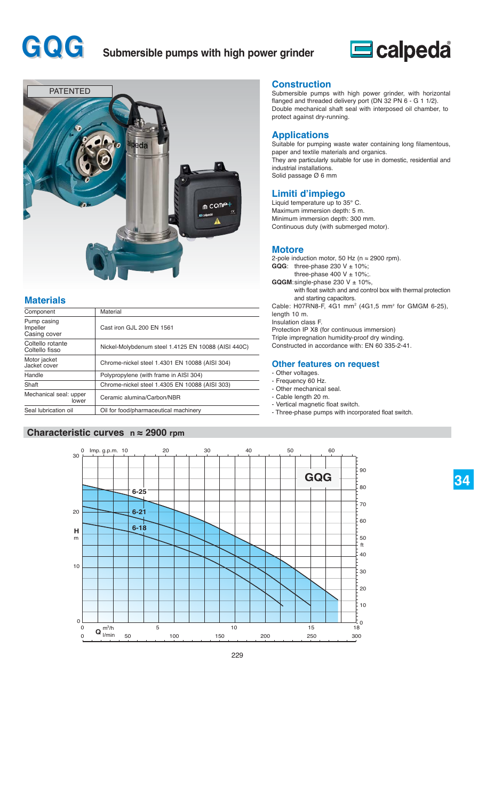# **GQG** Submersible pumps with high power grinder





## **Materials**

| Component                               | Material                                            |  |  |  |  |  |
|-----------------------------------------|-----------------------------------------------------|--|--|--|--|--|
| Pump casing<br>Impeller<br>Casing cover | Cast iron GJL 200 EN 1561                           |  |  |  |  |  |
| Coltello rotante<br>Coltello fisso      | Nickel-Molybdenum steel 1.4125 EN 10088 (AISI 440C) |  |  |  |  |  |
| Motor jacket<br>Jacket cover            | Chrome-nickel steel 1.4301 EN 10088 (AISI 304)      |  |  |  |  |  |
| Handle                                  | Polypropylene (with frame in AISI 304)              |  |  |  |  |  |
| Shaft                                   | Chrome-nickel steel 1.4305 EN 10088 (AISI 303)      |  |  |  |  |  |
| Mechanical seal: upper<br>lower         | Ceramic alumina/Carbon/NBR                          |  |  |  |  |  |
| Seal lubrication oil                    | Oil for food/pharmaceutical machinery               |  |  |  |  |  |

#### **Characteristic curves n ≈ 2900 rpm**

#### **Construction**

Submersible pumps with high power grinder, with horizontal flanged and threaded delivery port (DN 32 PN 6 - G 1 1/2). Double mechanical shaft seal with interposed oil chamber, to protect against dry-running.

#### **Applications**

Suitable for pumping waste water containing long filamentous, paper and textile materials and organics. They are particularly suitable for use in domestic, residential and industrial installations. Solid passage Ø 6 mm

#### **Limiti d'impiego**

Liquid temperature up to 35° C. Maximum immersion depth: 5 m. Minimum immersion depth: 300 mm. Continuous duty (with submerged motor).

#### **Motore**

2-pole induction motor, 50 Hz ( $n \approx 2900$  rpm). **GQG**: three-phase 230  $V \pm 10\%$ ; three-phase 400 V  $\pm$  10%;  $$ with float switch and and control box with thermal protection and starting capacitors. Cable: H07RN8-F, 4G1 mm2 (4G1,5 mm2 for GMGM 6-25), length 10 m. Insulation class F. Protection IP X8 (for continuous immersion) Triple impregnation humidity-proof dry winding. Constructed in accordance with: EN 60 335-2-41.

#### **Other features on request**

- Other voltages.
- Frequency 60 Hz.
- Other mechanical seal.
- Cable length 20 m. - Vertical magnetic float switch.
- Three-phase pumps with incorporated float switch.



# **34**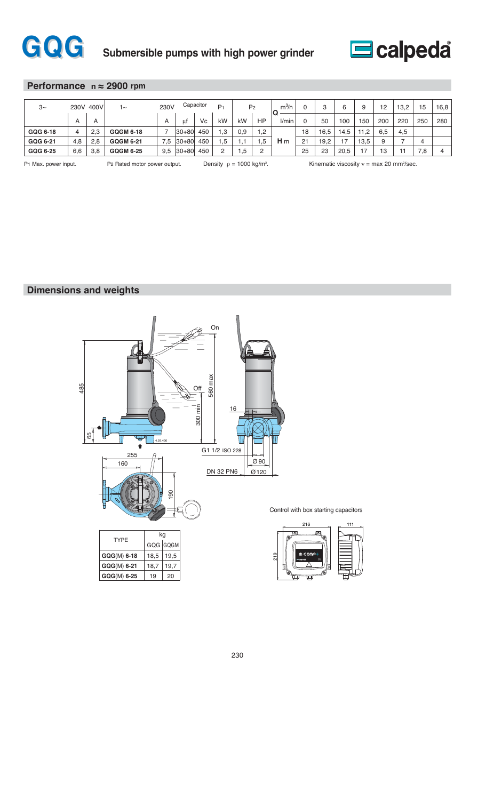



#### **Performance n ≈ 2900 rpm**

| $3\sim$  | 230V 400V |                | ∣∼               | Capacitor<br>230V |           | P <sub>1</sub> |     | P <sub>2</sub> | $m^3/h$<br>IС |                | o<br>ت | 6    | ч    | 12   | 13.2 | 15  | 16,8 |     |
|----------|-----------|----------------|------------------|-------------------|-----------|----------------|-----|----------------|---------------|----------------|--------|------|------|------|------|-----|------|-----|
|          | A         | $\overline{A}$ |                  | A                 | ut        | Vc             | kW  | kW             | HP            | l/min          |        | 50   | 100  | 150  | 200  | 220 | 250  | 280 |
| GQG 6-18 | 4         | 2,3            | <b>GQGM 6-18</b> |                   | $ 30+80 $ | 450            | .3  | 0,9            | 2.            |                | 18     | 16,5 | 4,5  | .2   | 6.5  | 4,5 |      |     |
| GQG 6-21 | 4,8       | 2,8            | <b>GQGM 6-21</b> | $^{\prime}$ .5    | $30 + 80$ | 450            | .,5 | . .            | .b            | H <sub>m</sub> | 21     | 19,2 | 17   | 13,5 | a    |     |      |     |
| GQG 6-25 | 6,6       | 3,8            | <b>GQGM 6-25</b> | 9,5               | $30 + 80$ | 450            |     | ,5             | $\Omega$      |                | 25     | 23   | 20.5 | כ ו  | 13   |     | 7,8  |     |

P1 Max. power input. P2 Rated motor power output. Density  $ρ = 1000 \text{ kg/m}^3$ .

. Kinematic viscosity ν = max 20 mm2 /sec.

### **Dimensions and weights**



#### Control with box starting capacitors

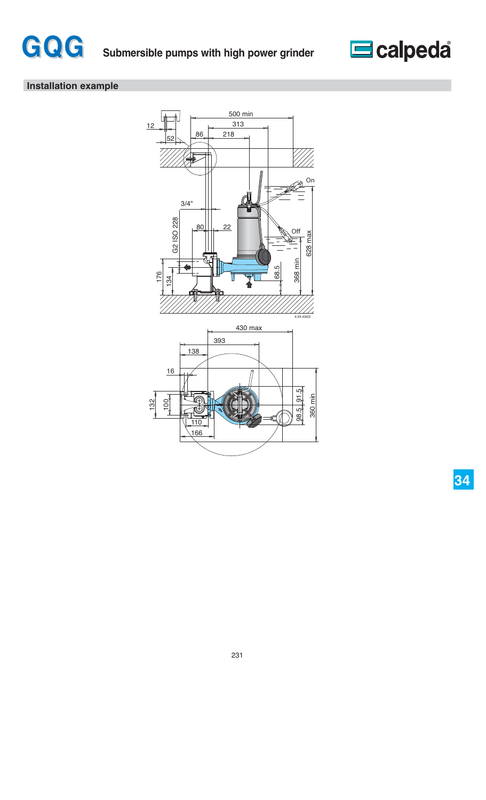



# **Installation example**



**34**